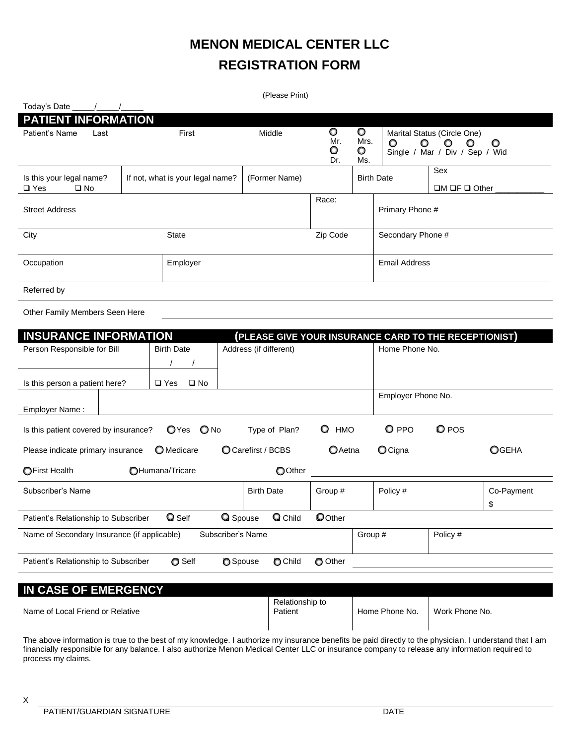# **MENON MEDICAL CENTER LLC REGISTRATION FORM**

| (Please Print)                                            |                                  |               |                                  |                             |                                                        |                                                                                             |
|-----------------------------------------------------------|----------------------------------|---------------|----------------------------------|-----------------------------|--------------------------------------------------------|---------------------------------------------------------------------------------------------|
| Today's Date                                              |                                  |               |                                  |                             |                                                        |                                                                                             |
| <b>PATIENT INFORMATION</b>                                |                                  |               |                                  |                             |                                                        |                                                                                             |
| Patient's Name<br>Last                                    | First                            | Middle        | $\circ$<br>Mr.<br>$\circ$<br>Dr. | $\circ$<br>Mrs.<br>O<br>Ms. | $\circ$<br>$\circ$                                     | Marital Status (Circle One)<br>$\circ$<br>$\circ$<br>O<br>Single / Mar / Div / Sep /<br>Wid |
| Is this your legal name?<br>$\square$ Yes<br>$\square$ No | If not, what is your legal name? | (Former Name) |                                  |                             | Sex<br><b>Birth Date</b><br>$\Box M \Box F \Box$ Other |                                                                                             |
| <b>Street Address</b>                                     |                                  |               | Race:<br>Primary Phone #         |                             |                                                        |                                                                                             |
| City<br><b>State</b>                                      |                                  |               | Zip Code                         |                             | Secondary Phone #                                      |                                                                                             |
| Occupation<br>Employer                                    |                                  |               |                                  | <b>Email Address</b>        |                                                        |                                                                                             |
| Referred by                                               |                                  |               |                                  |                             |                                                        |                                                                                             |

Other Family Members Seen Here

| <b>INSURANCE INFORMATION</b><br>(PLEASE GIVE YOUR INSURANCE CARD TO THE RECEPTIONIST)          |                               |  |                        |           |                    |       |                  |
|------------------------------------------------------------------------------------------------|-------------------------------|--|------------------------|-----------|--------------------|-------|------------------|
| Person Responsible for Bill                                                                    | <b>Birth Date</b>             |  | Address (if different) |           | Home Phone No.     |       |                  |
|                                                                                                |                               |  |                        |           |                    |       |                  |
| Is this person a patient here?                                                                 | $\square$ No<br>$\square$ Yes |  |                        |           |                    |       |                  |
| Employer Name:                                                                                 |                               |  |                        |           | Employer Phone No. |       |                  |
| Is this patient covered by insurance?                                                          | OYes ONo                      |  | Type of Plan?          | Q<br>HMO  | <b>Q</b> PPO       | O POS |                  |
| Please indicate primary insurance                                                              | O Medicare                    |  | CCarefirst / BCBS      | $O$ Aetna | $O$ Cigna          |       | Ogeha            |
| OOther<br><b>OFirst Health</b><br>OHumana/Tricare                                              |                               |  |                        |           |                    |       |                  |
| Subscriber's Name                                                                              |                               |  | <b>Birth Date</b>      | Group #   | Policy #           |       | Co-Payment<br>\$ |
| Q Child<br>OOther<br><b>Q</b> Self<br><b>Q</b> Spouse<br>Patient's Relationship to Subscriber  |                               |  |                        |           |                    |       |                  |
| Subscriber's Name<br>Policy #<br>Name of Secondary Insurance (if applicable)<br>Group #        |                               |  |                        |           |                    |       |                  |
| <b>O</b> Self<br>O Child<br>O Other<br>Patient's Relationship to Subscriber<br><b>O</b> Spouse |                               |  |                        |           |                    |       |                  |
|                                                                                                |                               |  |                        |           |                    |       |                  |

| IN CASE OF EMERGENCY             |                            |                |                |  |  |
|----------------------------------|----------------------------|----------------|----------------|--|--|
| Name of Local Friend or Relative | Relationship to<br>Patient | Home Phone No. | Work Phone No. |  |  |

The above information is true to the best of my knowledge. I authorize my insurance benefits be paid directly to the physician. I understand that I am financially responsible for any balance. I also authorize Menon Medical Center LLC or insurance company to release any information required to process my claims.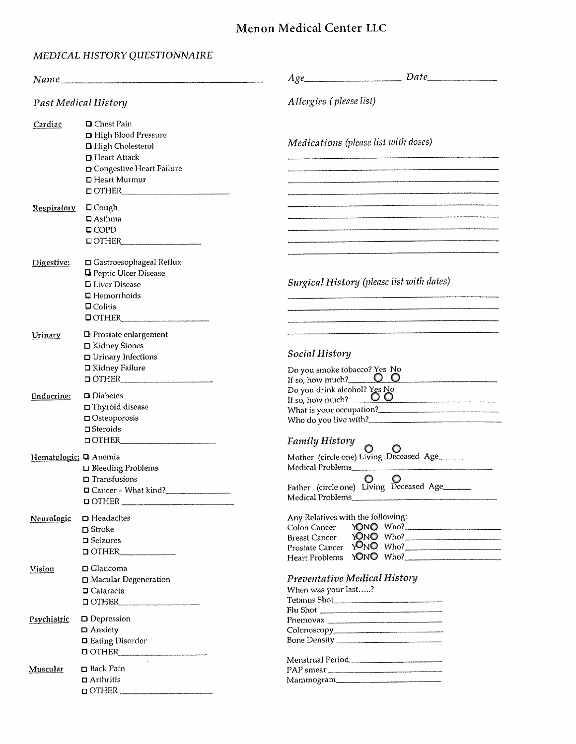## Menon Medical Center LLC

## MEDICAL HISTORY QUESTIONNAIRE

|                                                                                                                                                                                | Name                                                                                                                                         | $Date$ and $Date$ and $Date$ and $Date$ and $Date$ and $Date$ and $Date$ and $Date$ and $Date$ and $Date$ and $Date$ and $Date$ and $Date$ and $Date$ and $Date$ and $Date$ and $Date$ and $Date$ and $Date$ and $Date$ and $Date$ and $Date$ and $Date$ and $Date$ and $Date$ and $Date$ and $Date$ and $Date$ a<br>Age |  |  |  |  |
|--------------------------------------------------------------------------------------------------------------------------------------------------------------------------------|----------------------------------------------------------------------------------------------------------------------------------------------|--------------------------------------------------------------------------------------------------------------------------------------------------------------------------------------------------------------------------------------------------------------------------------------------------------------------------|--|--|--|--|
| <b>Past Medical History</b>                                                                                                                                                    |                                                                                                                                              | Allergies (please list)                                                                                                                                                                                                                                                                                                  |  |  |  |  |
| $\Box$ Chest Pain<br>Cardiac<br>□ High Blood Pressure<br>□ High Cholesterol<br>□ Heart Attack<br>□ Congestive Heart Failure<br>□ Heart Murmur<br>$\blacksquare$ $\blacksquare$ |                                                                                                                                              | Medications (please list with doses)                                                                                                                                                                                                                                                                                     |  |  |  |  |
| <b>Respiratory</b>                                                                                                                                                             | $\Box$ Cough<br>$\Box$ Asthma<br>$\Box$ COPD<br>$\Box$ OTHER                                                                                 | .<br>Internet 1947 and the contract of the composition of the component of the contract of the component of the cont                                                                                                                                                                                                     |  |  |  |  |
| Digestive:                                                                                                                                                                     | □ Gastroesophageal Reflux<br><b>Q</b> Peptic Ulcer Disease<br><b>□</b> Liver Disease<br>$\Box$ Hemorrhoids<br>$\Box$ Colitis<br>$\Box$ OTHER | Surgical History (please list with dates)                                                                                                                                                                                                                                                                                |  |  |  |  |
| Urinary                                                                                                                                                                        | $\Box$ Prostate enlargement<br>□ Kidney Stones<br>$\Box$ Urinary Infections<br>□ Kidney Failure<br>$\Box$ OTHER                              | Social History<br>Do you smoke tobacco? Yes No<br>00<br>If so, how much?                                                                                                                                                                                                                                                 |  |  |  |  |
| Endocrine:                                                                                                                                                                     | $\square$ Diabetes<br>$\Box$ Thyroid disease<br>$\Box$ Osteoporosis<br>$\square$ Steroids<br>$\Box$ OTHER                                    | Do you drink alcohol? Yes No<br>If so, how much? $\qquad \qquad \overline{O} \qquad \overline{O}$<br><b>Family History</b>                                                                                                                                                                                               |  |  |  |  |
| Hematologic: D Anemia                                                                                                                                                          | $\Box$ Bleeding Problems<br>$\Box$ Transfusions<br>$\Box$ Cancer – What kind?<br>$\Box$ OTHER                                                | O<br>Father (circle one) Living Deceased Age______<br>Medical Problems                                                                                                                                                                                                                                                   |  |  |  |  |
| Neurologic                                                                                                                                                                     | $\Box$ Headaches<br>$\Box$ Stroke<br>$\Box$ Seizures<br>$\Box$ OTHER                                                                         | Any Relatives with the following:<br>YONO Who?<br>Colon Cancer<br>YONO Who?<br><b>Breast Cancer</b><br>Prostate Cancer YONO Who?<br>Heart Problems YONO Who?                                                                                                                                                             |  |  |  |  |
| Vision                                                                                                                                                                         | $\Box$ Glaucoma<br>Macular Degeneration<br>$\Box$ Cataracts<br>$\Box$ OTHER                                                                  | Preventative Medical History<br>When was your last?<br>Tetanus Shot<br>Flu Shot                                                                                                                                                                                                                                          |  |  |  |  |
| Psychiatric                                                                                                                                                                    | $\Box$ Depression<br>□ Anxiety<br>$\Box$ Eating Disorder<br>$\Box$ OTHER                                                                     | Pnemovax                                                                                                                                                                                                                                                                                                                 |  |  |  |  |
| Muscular                                                                                                                                                                       | □ Back Pain<br>$\Box$ Arthritis<br>$\Box$ OTHER                                                                                              | Menstrual Period<br>PAP smear<br>Mammogram                                                                                                                                                                                                                                                                               |  |  |  |  |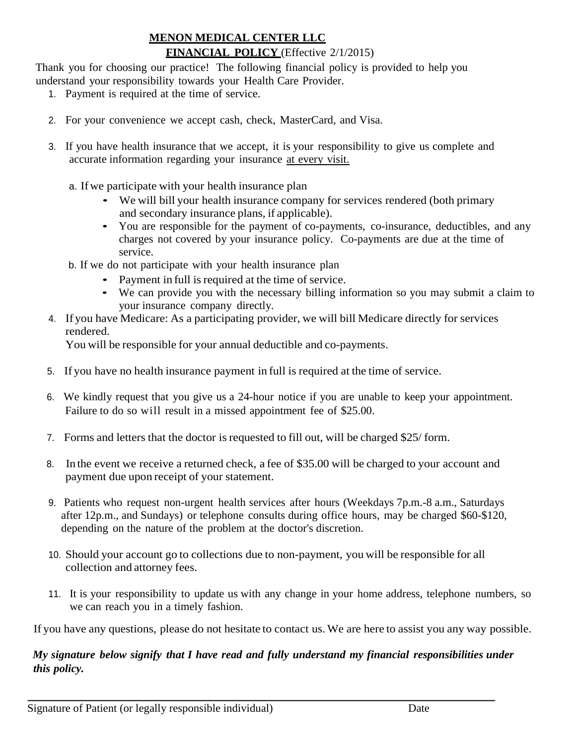## **MENON MEDICAL CENTER LLC FINANCIAL POLICY** (Effective 2/1/2015)

Thank you for choosing our practice! The following financial policy is provided to help you understand your responsibility towards your Health Care Provider.

- 1. Payment is required at the time of service.
- 2. For your convenience we accept cash, check, MasterCard, and Visa.
- 3. If you have health insurance that we accept, it is your responsibility to give us complete and accurate information regarding your insurance at every visit.
	- a. Ifwe participate with your health insurance plan
		- We will bill your health insurance company for services rendered (both primary and secondary insurance plans, if applicable).
		- You are responsible for the payment of co-payments, co-insurance, deductibles, and any charges not covered by your insurance policy. Co-payments are due at the time of service.
	- b. If we do not participate with your health insurance plan
		- Payment in full is required at the time of service.
		- We can provide you with the necessary billing information so you may submit a claim to your insurance company directly.
- 4. If you have Medicare: As a participating provider, we will bill Medicare directly for services rendered.

You will be responsible for your annual deductible and co-payments.

- 5. If you have no health insurance payment in full is required at the time of service.
- 6. We kindly request that you give us a 24-hour notice if you are unable to keep your appointment. Failure to do so will result in a missed appointment fee of \$25.00.
- 7. Forms and letters that the doctor is requested to fill out, will be charged \$25/ form.
- 8. In the event we receive a returned check, a fee of \$35.00 will be charged to your account and payment due upon receipt of your statement.
- 9. Patients who request non-urgent health services after hours (Weekdays 7p.m.-8 a.m., Saturdays after 12p.m., and Sundays) or telephone consults during office hours, may be charged \$60-\$120, depending on the nature of the problem at the doctor's discretion.
- 10. Should your account go to collections due to non-payment, you will be responsible for all collection and attorney fees.
- 11. It is your responsibility to update us with any change in your home address, telephone numbers, so we can reach you in a timely fashion.

If you have any questions, please do not hesitate to contact us. We are here to assist you any way possible.

### *My signature below signify that I have read and fully understand my financial responsibilities under this policy.*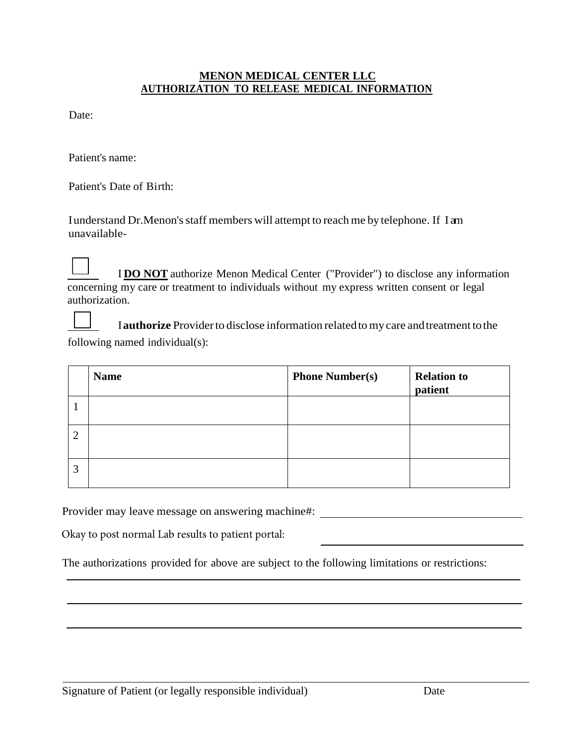#### **MENON MEDICAL CENTER LLC AUTHORIZATION TO RELEASE MEDICAL INFORMATION**

Date:

Patient's name:

Patient's Date of Birth:

I understand Dr.Menon's staff members will attempt to reach me by telephone. If I am unavailable-

I **DO NOT** authorize Menon Medical Center ("Provider") to disclose any information concerning my care or treatment to individuals without my express written consent or legal authorization.

I **authorize** Provider to disclose information related to my care and treatment to the following named individual(s):

|                | <b>Name</b> | <b>Phone Number(s)</b> | <b>Relation to</b><br>patient |
|----------------|-------------|------------------------|-------------------------------|
|                |             |                        |                               |
| $\overline{2}$ |             |                        |                               |
| 3              |             |                        |                               |

Provider may leave message on answering machine#:

Okay to post normal Lab results to patient portal:

The authorizations provided for above are subject to the following limitations or restrictions: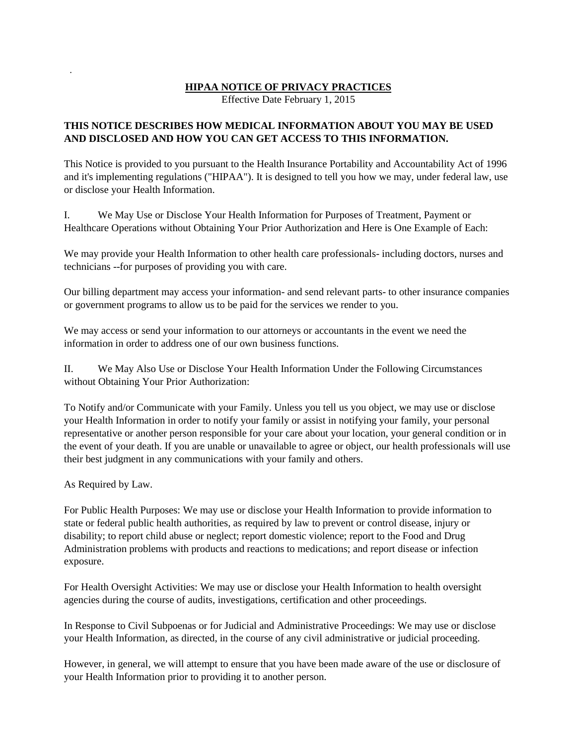#### **HIPAA NOTICE OF PRIVACY PRACTICES**

Effective Date February 1, 2015

#### **THIS NOTICE DESCRIBES HOW MEDICAL INFORMATION ABOUT YOU MAY BE USED AND DISCLOSED AND HOW YOU CAN GET ACCESS TO THIS INFORMATION.**

This Notice is provided to you pursuant to the Health Insurance Portability and Accountability Act of 1996 and it's implementing regulations ("HIPAA"). It is designed to tell you how we may, under federal law, use or disclose your Health Information.

I. We May Use or Disclose Your Health Information for Purposes of Treatment, Payment or Healthcare Operations without Obtaining Your Prior Authorization and Here is One Example of Each:

We may provide your Health Information to other health care professionals- including doctors, nurses and technicians --for purposes of providing you with care.

Our billing department may access your information- and send relevant parts- to other insurance companies or government programs to allow us to be paid for the services we render to you.

We may access or send your information to our attorneys or accountants in the event we need the information in order to address one of our own business functions.

II. We May Also Use or Disclose Your Health Information Under the Following Circumstances without Obtaining Your Prior Authorization:

To Notify and/or Communicate with your Family. Unless you tell us you object, we may use or disclose your Health Information in order to notify your family or assist in notifying your family, your personal representative or another person responsible for your care about your location, your general condition or in the event of your death. If you are unable or unavailable to agree or object, our health professionals will use their best judgment in any communications with your family and others.

As Required by Law.

.

For Public Health Purposes: We may use or disclose your Health Information to provide information to state or federal public health authorities, as required by law to prevent or control disease, injury or disability; to report child abuse or neglect; report domestic violence; report to the Food and Drug Administration problems with products and reactions to medications; and report disease or infection exposure.

For Health Oversight Activities: We may use or disclose your Health Information to health oversight agencies during the course of audits, investigations, certification and other proceedings.

In Response to Civil Subpoenas or for Judicial and Administrative Proceedings: We may use or disclose your Health Information, as directed, in the course of any civil administrative or judicial proceeding.

However, in general, we will attempt to ensure that you have been made aware of the use or disclosure of your Health Information prior to providing it to another person.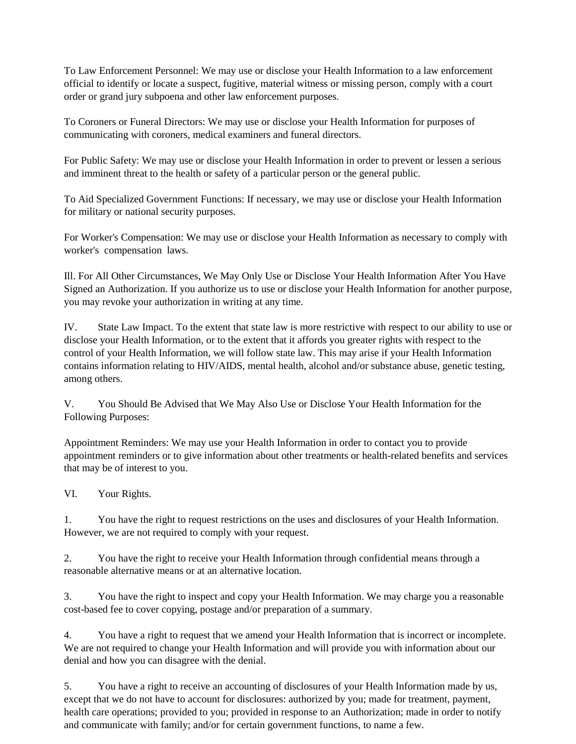To Law Enforcement Personnel: We may use or disclose your Health Information to a law enforcement official to identify or locate a suspect, fugitive, material witness or missing person, comply with a court order or grand jury subpoena and other law enforcement purposes.

To Coroners or Funeral Directors: We may use or disclose your Health Information for purposes of communicating with coroners, medical examiners and funeral directors.

For Public Safety: We may use or disclose your Health Information in order to prevent or lessen a serious and imminent threat to the health or safety of a particular person or the general public.

To Aid Specialized Government Functions: If necessary, we may use or disclose your Health Information for military or national security purposes.

For Worker's Compensation: We may use or disclose your Health Information as necessary to comply with worker's compensation laws.

Ill. For All Other Circumstances, We May Only Use or Disclose Your Health Information After You Have Signed an Authorization. If you authorize us to use or disclose your Health Information for another purpose, you may revoke your authorization in writing at any time.

IV. State Law Impact. To the extent that state law is more restrictive with respect to our ability to use or disclose your Health Information, or to the extent that it affords you greater rights with respect to the control of your Health Information, we will follow state law. This may arise if your Health Information contains information relating to HIV/AIDS, mental health, alcohol and/or substance abuse, genetic testing, among others.

V. You Should Be Advised that We May Also Use or Disclose Your Health Information for the Following Purposes:

Appointment Reminders: We may use your Health Information in order to contact you to provide appointment reminders or to give information about other treatments or health-related benefits and services that may be of interest to you.

VI. Your Rights.

1. You have the right to request restrictions on the uses and disclosures of your Health Information. However, we are not required to comply with your request.

2. You have the right to receive your Health Information through confidential means through a reasonable alternative means or at an alternative location.

3. You have the right to inspect and copy your Health Information. We may charge you a reasonable cost-based fee to cover copying, postage and/or preparation of a summary.

4. You have a right to request that we amend your Health Information that is incorrect or incomplete. We are not required to change your Health Information and will provide you with information about our denial and how you can disagree with the denial.

5. You have a right to receive an accounting of disclosures of your Health Information made by us, except that we do not have to account for disclosures: authorized by you; made for treatment, payment, health care operations; provided to you; provided in response to an Authorization; made in order to notify and communicate with family; and/or for certain government functions, to name a few.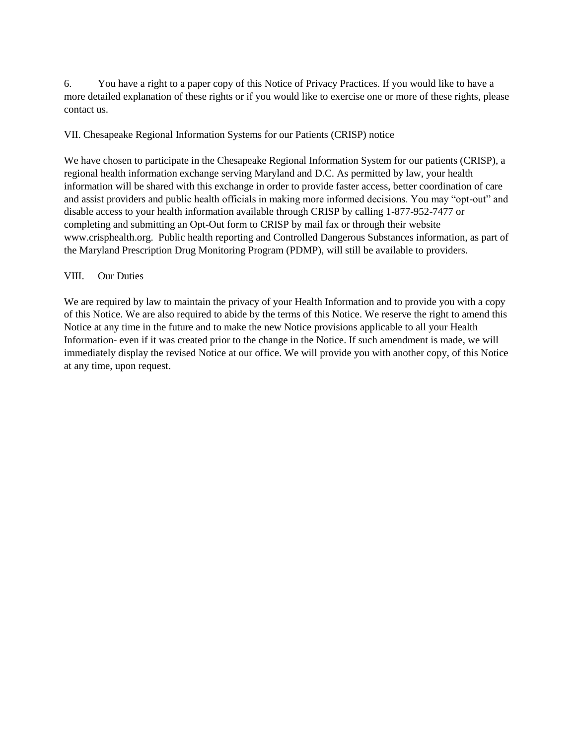6. You have a right to a paper copy of this Notice of Privacy Practices. If you would like to have a more detailed explanation of these rights or if you would like to exercise one or more of these rights, please contact us.

#### VII. Chesapeake Regional Information Systems for our Patients (CRISP) notice

We have chosen to participate in the Chesapeake Regional Information System for our patients (CRISP), a regional health information exchange serving Maryland and D.C. As permitted by law, your health information will be shared with this exchange in order to provide faster access, better coordination of care and assist providers and public health officials in making more informed decisions. You may "opt-out" and disable access to your health information available through CRISP by calling 1-877-952-7477 or completing and submitting an Opt-Out form to CRISP by mail fax or through their website www.crisphealth.org. Public health reporting and Controlled Dangerous Substances information, as part of the Maryland Prescription Drug Monitoring Program (PDMP), will still be available to providers.

#### VIII. Our Duties

We are required by law to maintain the privacy of your Health Information and to provide you with a copy of this Notice. We are also required to abide by the terms of this Notice. We reserve the right to amend this Notice at any time in the future and to make the new Notice provisions applicable to all your Health Information- even if it was created prior to the change in the Notice. If such amendment is made, we will immediately display the revised Notice at our office. We will provide you with another copy, of this Notice at any time, upon request.